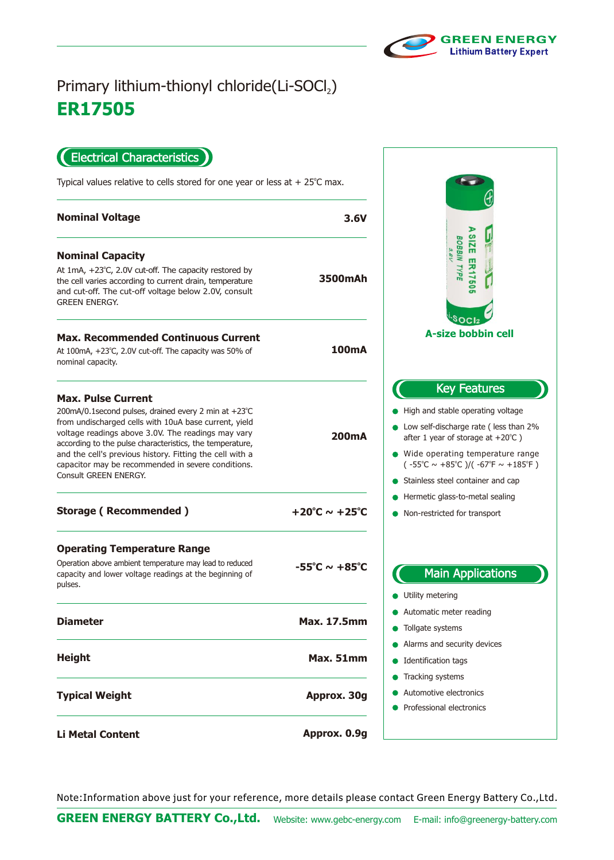

## **ER17505** Primary lithium-thionyl chloride(Li-SOCl2)

Electrical Characteristics

Typical values relative to cells stored for one year or less at  $+25^{\circ}$ C max.

| <b>Nominal Voltage</b>                                                                                                                                                                                                                                                                                                                                                                                  | 3.6V                              |
|---------------------------------------------------------------------------------------------------------------------------------------------------------------------------------------------------------------------------------------------------------------------------------------------------------------------------------------------------------------------------------------------------------|-----------------------------------|
| <b>Nominal Capacity</b><br>At $1mA$ , $+23^{\circ}C$ , 2.0V cut-off. The capacity restored by<br>the cell varies according to current drain, temperature<br>and cut-off. The cut-off voltage below 2.0V, consult<br><b>GREEN ENERGY.</b>                                                                                                                                                                | 3500mAh                           |
| <b>Max. Recommended Continuous Current</b><br>At 100mA, +23°C, 2.0V cut-off. The capacity was 50% of<br>nominal capacity.                                                                                                                                                                                                                                                                               | 100mA                             |
| <b>Max. Pulse Current</b><br>200mA/0.1second pulses, drained every 2 min at +23°C<br>from undischarged cells with 10uA base current, yield<br>voltage readings above 3.0V. The readings may vary<br>according to the pulse characteristics, the temperature,<br>and the cell's previous history. Fitting the cell with a<br>capacitor may be recommended in severe conditions.<br>Consult GREEN ENERGY. | 200 <sub>m</sub> A                |
| <b>Storage (Recommended)</b>                                                                                                                                                                                                                                                                                                                                                                            | +20°C $\sim$ +25°C                |
| <b>Operating Temperature Range</b><br>Operation above ambient temperature may lead to reduced<br>capacity and lower voltage readings at the beginning of<br>pulses.                                                                                                                                                                                                                                     | $-55^{\circ}$ C ~ $+85^{\circ}$ C |
| <b>Diameter</b>                                                                                                                                                                                                                                                                                                                                                                                         | <b>Max. 17.5mm</b>                |
| <b>Height</b>                                                                                                                                                                                                                                                                                                                                                                                           | Max. 51mm                         |
| <b>Typical Weight</b>                                                                                                                                                                                                                                                                                                                                                                                   | Approx. 30g                       |
| <b>Li Metal Content</b>                                                                                                                                                                                                                                                                                                                                                                                 | Approx. 0.9g                      |



Note:Information above just for your reference, more details please contact Green Energy Battery Co.,Ltd.